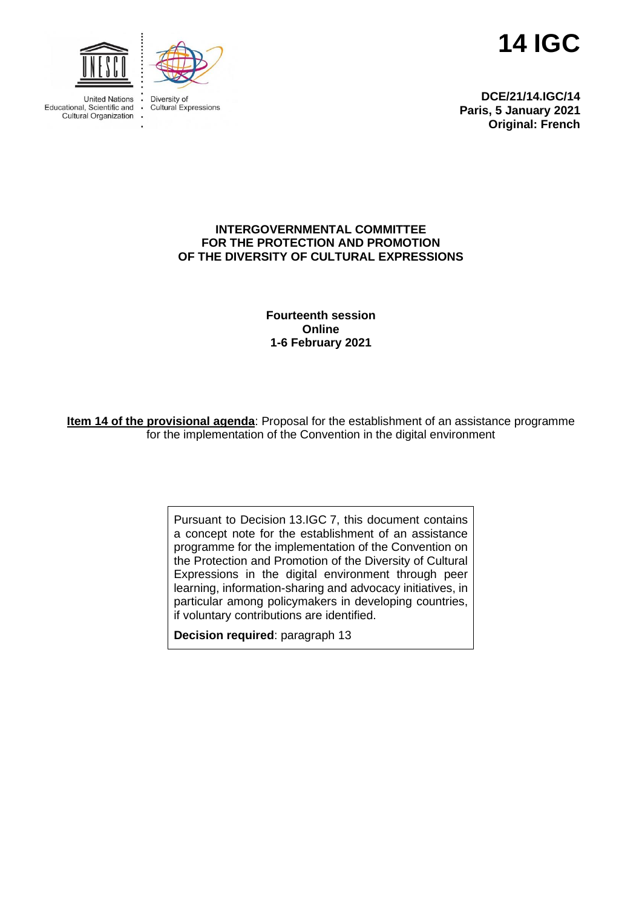



**Linited Nations** Fducational Scientific and . Cultural Organization

Diversity of **Cultural Expressions** 



**DCE/21/14.IGC/14 Paris, 5 January 2021 Original: French**

### **INTERGOVERNMENTAL COMMITTEE FOR THE PROTECTION AND PROMOTION OF THE DIVERSITY OF CULTURAL EXPRESSIONS**

**Fourteenth session Online 1-6 February 2021**

**Item 14 of the provisional agenda**: Proposal for the establishment of an assistance programme for the implementation of the Convention in the digital environment

> Pursuant to Decision 13.IGC 7, this document contains a concept note for the establishment of an assistance programme for the implementation of the Convention on the Protection and Promotion of the Diversity of Cultural Expressions in the digital environment through peer learning, information-sharing and advocacy initiatives, in particular among policymakers in developing countries, if voluntary contributions are identified.

**Decision required**: paragraph 13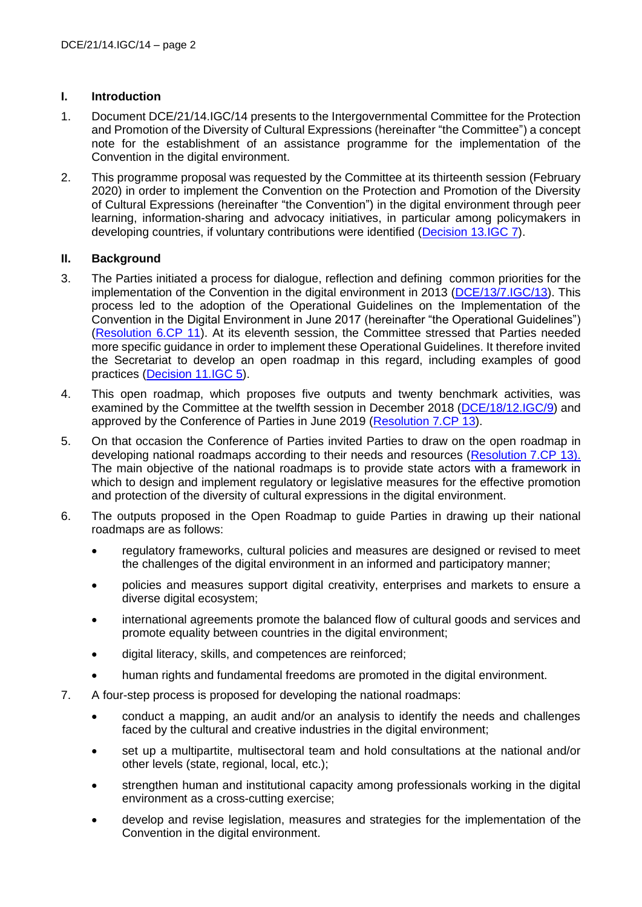## **I. Introduction**

- 1. Document DCE/21/14.IGC/14 presents to the Intergovernmental Committee for the Protection and Promotion of the Diversity of Cultural Expressions (hereinafter "the Committee") a concept note for the establishment of an assistance programme for the implementation of the Convention in the digital environment.
- 2. This programme proposal was requested by the Committee at its thirteenth session (February 2020) in order to implement the Convention on the Protection and Promotion of the Diversity of Cultural Expressions (hereinafter "the Convention") in the digital environment through peer learning, information-sharing and advocacy initiatives, in particular among policymakers in developing countries, if voluntary contributions were identified [\(Decision 13.IGC 7\)](https://en.unesco.org/creativity/sites/creativity/files/sessions/13igc_decisions_en.pdf).

## **II. Background**

- 3. The Parties initiated a process for dialogue, reflection and defining common priorities for the implementation of the Convention in the digital environment in 2013 [\(DCE/13/7.IGC/13\)](https://en.unesco.org/creativity/sites/creativity/files/7igc_13_activites_comite_en.pdf). This process led to the adoption of the Operational Guidelines on the Implementation of the Convention in the Digital Environment in June 2017 (hereinafter "the Operational Guidelines") [\(Resolution 6.CP 11\)](https://en.unesco.org/creativity/sites/creativity/files/sessions/6cp_11_do_numerique_en.pdf). At its eleventh session, the Committee stressed that Parties needed more specific guidance in order to implement these Operational Guidelines. It therefore invited the Secretariat to develop an open roadmap in this regard, including examples of good practices [\(Decision 11.IGC 5\)](https://en.unesco.org/creativity/sites/creativity/files/sessions/11igc_5_future_activities_committee_en.pdf).
- 4. This open roadmap, which proposes five outputs and twenty benchmark activities, was examined by the Committee at the twelfth session in December 2018 [\(DCE/18/12.IGC/9\)](https://en.unesco.org/creativity/sites/creativity/files/sessions/7cp_resolutions_en.pdf) and approved by the Conference of Parties in June 2019 [\(Resolution 7.CP 13\)](https://en.unesco.org/creativity/sites/creativity/files/sessions/7cp_resolutions_en.pdf).
- 5. On that occasion the Conference of Parties invited Parties to draw on the open roadmap in developing national roadmaps according to their needs and resources [\(Resolution](https://en.unesco.org/creativity/sites/creativity/files/sessions/7cp_resolutions_en.pdf) 7.CP 13). The main objective of the national roadmaps is to provide state actors with a framework in which to design and implement regulatory or legislative measures for the effective promotion and protection of the diversity of cultural expressions in the digital environment.
- 6. The outputs proposed in the Open Roadmap to guide Parties in drawing up their national roadmaps are as follows:
	- regulatory frameworks, cultural policies and measures are designed or revised to meet the challenges of the digital environment in an informed and participatory manner;
	- policies and measures support digital creativity, enterprises and markets to ensure a diverse digital ecosystem;
	- international agreements promote the balanced flow of cultural goods and services and promote equality between countries in the digital environment;
	- digital literacy, skills, and competences are reinforced;
	- human rights and fundamental freedoms are promoted in the digital environment.
- 7. A four-step process is proposed for developing the national roadmaps:
	- conduct a mapping, an audit and/or an analysis to identify the needs and challenges faced by the cultural and creative industries in the digital environment:
	- set up a multipartite, multisectoral team and hold consultations at the national and/or other levels (state, regional, local, etc.);
	- strengthen human and institutional capacity among professionals working in the digital environment as a cross-cutting exercise;
	- develop and revise legislation, measures and strategies for the implementation of the Convention in the digital environment.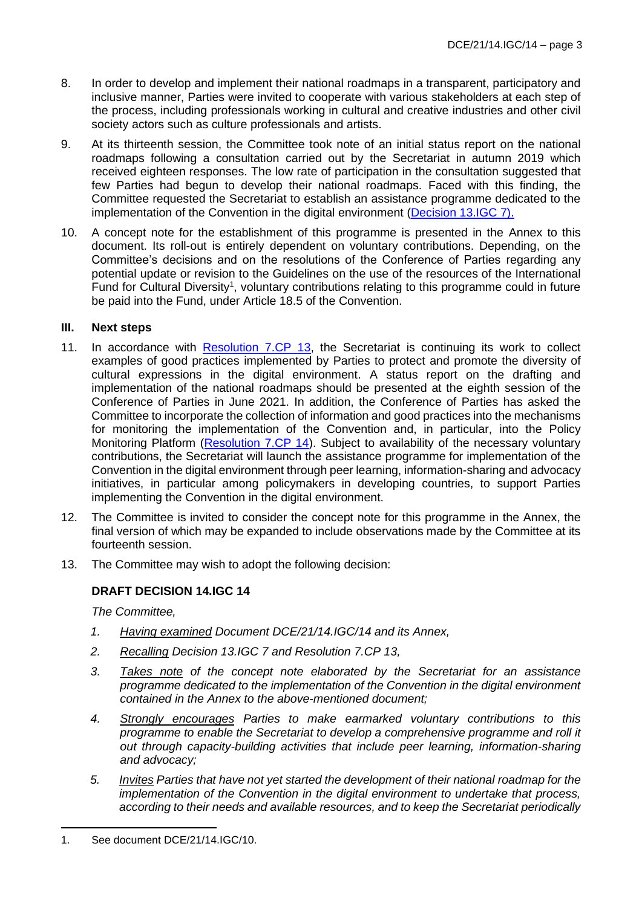- 8. In order to develop and implement their national roadmaps in a transparent, participatory and inclusive manner, Parties were invited to cooperate with various stakeholders at each step of the process, including professionals working in cultural and creative industries and other civil society actors such as culture professionals and artists.
- 9. At its thirteenth session, the Committee took note of an initial status report on the national roadmaps following a consultation carried out by the Secretariat in autumn 2019 which received eighteen responses. The low rate of participation in the consultation suggested that few Parties had begun to develop their national roadmaps. Faced with this finding, the Committee requested the Secretariat to establish an assistance programme dedicated to the implementation of the Convention in the digital environment [\(Decision 13.IGC 7\).](https://en.unesco.org/creativity/sites/creativity/files/sessions/13igc_decisions_en.pdf)
- 10. A concept note for the establishment of this programme is presented in the Annex to this document. Its roll-out is entirely dependent on voluntary contributions. Depending, on the Committee's decisions and on the resolutions of the Conference of Parties regarding any potential update or revision to the Guidelines on the use of the resources of the International Fund for Cultural Diversity<sup>1</sup>, voluntary contributions relating to this programme could in future be paid into the Fund, under Article 18.5 of the Convention.

## **III. Next steps**

- 11. In accordance with [Resolution 7.CP 13,](https://en.unesco.org/creativity/sites/creativity/files/sessions/7cp_resolutions_en.pdf) the Secretariat is continuing its work to collect examples of good practices implemented by Parties to protect and promote the diversity of cultural expressions in the digital environment. A status report on the drafting and implementation of the national roadmaps should be presented at the eighth session of the Conference of Parties in June 2021. In addition, the Conference of Parties has asked the Committee to incorporate the collection of information and good practices into the mechanisms for monitoring the implementation of the Convention and, in particular, into the Policy Monitoring Platform [\(Resolution 7.CP 14\)](https://en.unesco.org/creativity/sites/creativity/files/sessions/7cp_resolutions_en.pdf). Subject to availability of the necessary voluntary contributions, the Secretariat will launch the assistance programme for implementation of the Convention in the digital environment through peer learning, information-sharing and advocacy initiatives, in particular among policymakers in developing countries, to support Parties implementing the Convention in the digital environment.
- 12. The Committee is invited to consider the concept note for this programme in the Annex, the final version of which may be expanded to include observations made by the Committee at its fourteenth session.
- 13. The Committee may wish to adopt the following decision:

# **DRAFT DECISION 14.IGC 14**

*The Committee,*

- *1. Having examined Document DCE/21/14.IGC/14 and its Annex,*
- *2. Recalling Decision 13.IGC 7 and Resolution 7.CP 13,*
- *3. Takes note of the concept note elaborated by the Secretariat for an assistance programme dedicated to the implementation of the Convention in the digital environment contained in the Annex to the above-mentioned document;*
- *4. Strongly encourages Parties to make earmarked voluntary contributions to this programme to enable the Secretariat to develop a comprehensive programme and roll it out through capacity-building activities that include peer learning, information-sharing and advocacy;*
- *5. Invites Parties that have not yet started the development of their national roadmap for the implementation of the Convention in the digital environment to undertake that process, according to their needs and available resources, and to keep the Secretariat periodically*

<sup>1.</sup> See document DCE/21/14.IGC/10.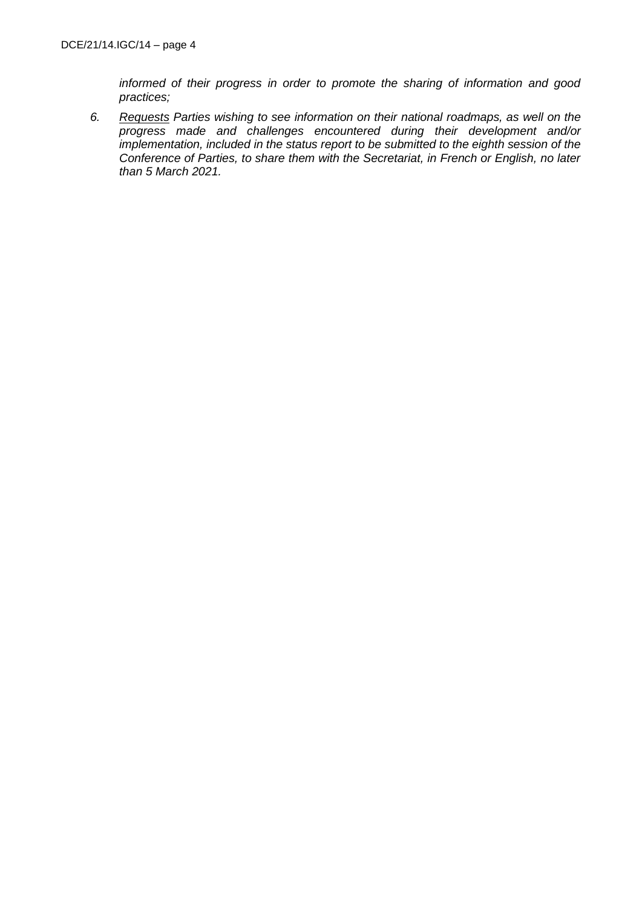*informed of their progress in order to promote the sharing of information and good practices;*

*6. Requests Parties wishing to see information on their national roadmaps, as well on the progress made and challenges encountered during their development and/or implementation, included in the status report to be submitted to the eighth session of the Conference of Parties, to share them with the Secretariat, in French or English, no later than 5 March 2021.*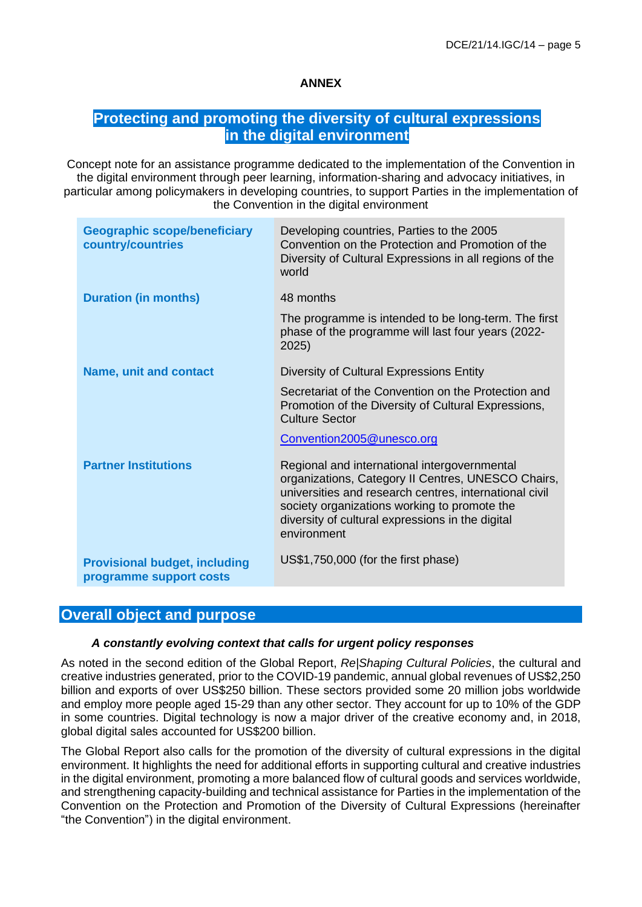# **ANNEX**

# **Protecting and promoting the diversity of cultural expressions in the digital environment**

Concept note for an assistance programme dedicated to the implementation of the Convention in the digital environment through peer learning, information-sharing and advocacy initiatives, in particular among policymakers in developing countries, to support Parties in the implementation of the Convention in the digital environment

| <b>Geographic scope/beneficiary</b><br>country/countries        | Developing countries, Parties to the 2005<br>Convention on the Protection and Promotion of the<br>Diversity of Cultural Expressions in all regions of the<br>world                                                                                                              |
|-----------------------------------------------------------------|---------------------------------------------------------------------------------------------------------------------------------------------------------------------------------------------------------------------------------------------------------------------------------|
| <b>Duration (in months)</b>                                     | 48 months                                                                                                                                                                                                                                                                       |
|                                                                 | The programme is intended to be long-term. The first<br>phase of the programme will last four years (2022-<br>2025)                                                                                                                                                             |
| <b>Name, unit and contact</b>                                   | Diversity of Cultural Expressions Entity                                                                                                                                                                                                                                        |
|                                                                 | Secretariat of the Convention on the Protection and<br>Promotion of the Diversity of Cultural Expressions,<br><b>Culture Sector</b>                                                                                                                                             |
|                                                                 | Convention2005@unesco.org                                                                                                                                                                                                                                                       |
| <b>Partner Institutions</b>                                     | Regional and international intergovernmental<br>organizations, Category II Centres, UNESCO Chairs,<br>universities and research centres, international civil<br>society organizations working to promote the<br>diversity of cultural expressions in the digital<br>environment |
| <b>Provisional budget, including</b><br>programme support costs | US\$1,750,000 (for the first phase)                                                                                                                                                                                                                                             |

# **Overall object and purpose**

#### *A constantly evolving context that calls for urgent policy responses*

As noted in the second edition of the Global Report, *Re|Shaping Cultural Policies*, the cultural and creative industries generated, prior to the COVID-19 pandemic, annual global revenues of US\$2,250 billion and exports of over US\$250 billion. These sectors provided some 20 million jobs worldwide and employ more people aged 15-29 than any other sector. They account for up to 10% of the GDP in some countries. Digital technology is now a major driver of the creative economy and, in 2018, global digital sales accounted for US\$200 billion.

The Global Report also calls for the promotion of the diversity of cultural expressions in the digital environment. It highlights the need for additional efforts in supporting cultural and creative industries in the digital environment, promoting a more balanced flow of cultural goods and services worldwide, and strengthening capacity-building and technical assistance for Parties in the implementation of the Convention on the Protection and Promotion of the Diversity of Cultural Expressions (hereinafter "the Convention") in the digital environment.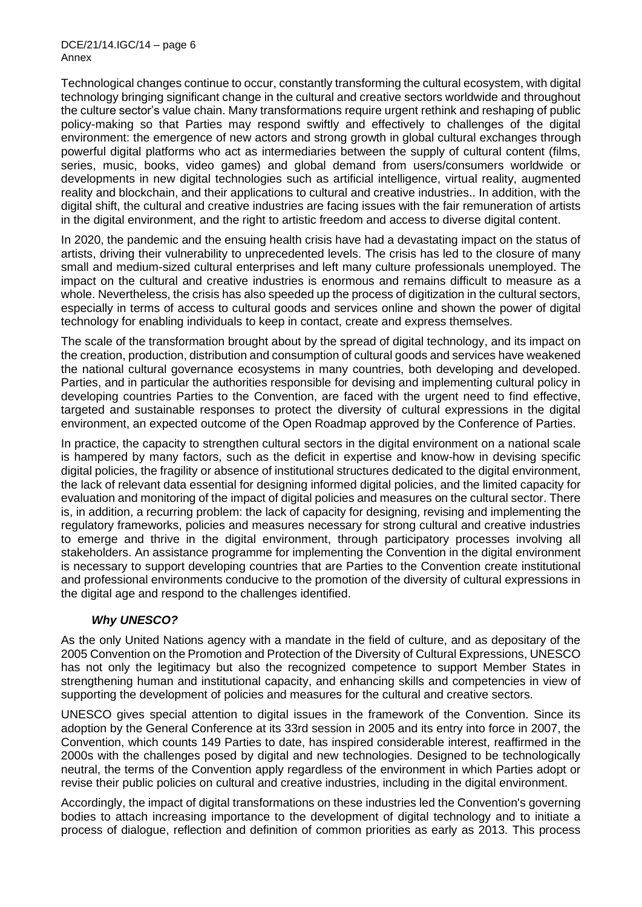DCE/21/14.IGC/14 – page 6 Annex

Technological changes continue to occur, constantly transforming the cultural ecosystem, with digital technology bringing significant change in the cultural and creative sectors worldwide and throughout the culture sector's value chain. Many transformations require urgent rethink and reshaping of public policy-making so that Parties may respond swiftly and effectively to challenges of the digital environment: the emergence of new actors and strong growth in global cultural exchanges through powerful digital platforms who act as intermediaries between the supply of cultural content (films, series, music, books, video games) and global demand from users/consumers worldwide or developments in new digital technologies such as artificial intelligence, virtual reality, augmented reality and blockchain, and their applications to cultural and creative industries.. In addition, with the digital shift, the cultural and creative industries are facing issues with the fair remuneration of artists in the digital environment, and the right to artistic freedom and access to diverse digital content.

In 2020, the pandemic and the ensuing health crisis have had a devastating impact on the status of artists, driving their vulnerability to unprecedented levels. The crisis has led to the closure of many small and medium-sized cultural enterprises and left many culture professionals unemployed. The impact on the cultural and creative industries is enormous and remains difficult to measure as a whole. Nevertheless, the crisis has also speeded up the process of digitization in the cultural sectors, especially in terms of access to cultural goods and services online and shown the power of digital technology for enabling individuals to keep in contact, create and express themselves.

The scale of the transformation brought about by the spread of digital technology, and its impact on the creation, production, distribution and consumption of cultural goods and services have weakened the national cultural governance ecosystems in many countries, both developing and developed. Parties, and in particular the authorities responsible for devising and implementing cultural policy in developing countries Parties to the Convention, are faced with the urgent need to find effective, targeted and sustainable responses to protect the diversity of cultural expressions in the digital environment, an expected outcome of the Open Roadmap approved by the Conference of Parties.

In practice, the capacity to strengthen cultural sectors in the digital environment on a national scale is hampered by many factors, such as the deficit in expertise and know-how in devising specific digital policies, the fragility or absence of institutional structures dedicated to the digital environment, the lack of relevant data essential for designing informed digital policies, and the limited capacity for evaluation and monitoring of the impact of digital policies and measures on the cultural sector. There is, in addition, a recurring problem: the lack of capacity for designing, revising and implementing the regulatory frameworks, policies and measures necessary for strong cultural and creative industries to emerge and thrive in the digital environment, through participatory processes involving all stakeholders. An assistance programme for implementing the Convention in the digital environment is necessary to support developing countries that are Parties to the Convention create institutional and professional environments conducive to the promotion of the diversity of cultural expressions in the digital age and respond to the challenges identified.

### *Why UNESCO?*

As the only United Nations agency with a mandate in the field of culture, and as depositary of the 2005 Convention on the Promotion and Protection of the Diversity of Cultural Expressions, UNESCO has not only the legitimacy but also the recognized competence to support Member States in strengthening human and institutional capacity, and enhancing skills and competencies in view of supporting the development of policies and measures for the cultural and creative sectors.

UNESCO gives special attention to digital issues in the framework of the Convention. Since its adoption by the General Conference at its 33rd session in 2005 and its entry into force in 2007, the Convention, which counts 149 Parties to date, has inspired considerable interest, reaffirmed in the 2000s with the challenges posed by digital and new technologies. Designed to be technologically neutral, the terms of the Convention apply regardless of the environment in which Parties adopt or revise their public policies on cultural and creative industries, including in the digital environment.

Accordingly, the impact of digital transformations on these industries led the Convention's governing bodies to attach increasing importance to the development of digital technology and to initiate a process of dialogue, reflection and definition of common priorities as early as 2013. This process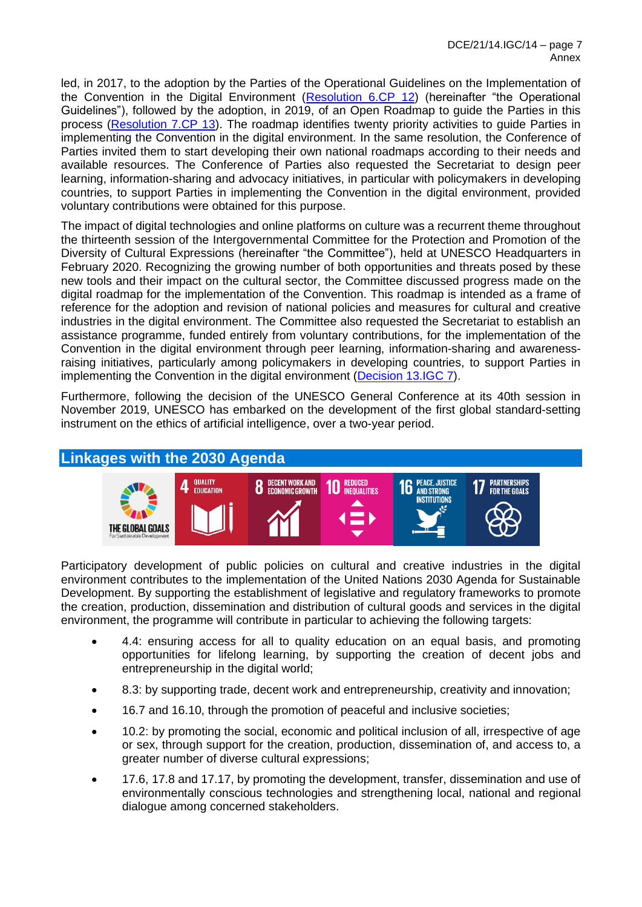led, in 2017, to the adoption by the Parties of the Operational Guidelines on the Implementation of the Convention in the Digital Environment [\(Resolution 6.CP 12\)](https://en.unesco.org/creativity/sites/creativity/files/sessions/resolutions_6cp_en.pdf) (hereinafter "the Operational Guidelines"), followed by the adoption, in 2019, of an Open Roadmap to guide the Parties in this process [\(Resolution 7.CP 13\)](https://en.unesco.org/creativity/sites/creativity/files/sessions/7cp_resolutions_en.pdf). The roadmap identifies twenty priority activities to guide Parties in implementing the Convention in the digital environment. In the same resolution, the Conference of Parties invited them to start developing their own national roadmaps according to their needs and available resources. The Conference of Parties also requested the Secretariat to design peer learning, information-sharing and advocacy initiatives, in particular with policymakers in developing countries, to support Parties in implementing the Convention in the digital environment, provided voluntary contributions were obtained for this purpose.

The impact of digital technologies and online platforms on culture was a recurrent theme throughout the thirteenth session of the Intergovernmental Committee for the Protection and Promotion of the Diversity of Cultural Expressions (hereinafter "the Committee"), held at UNESCO Headquarters in February 2020. Recognizing the growing number of both opportunities and threats posed by these new tools and their impact on the cultural sector, the Committee discussed progress made on the digital roadmap for the implementation of the Convention. This roadmap is intended as a frame of reference for the adoption and revision of national policies and measures for cultural and creative industries in the digital environment. The Committee also requested the Secretariat to establish an assistance programme, funded entirely from voluntary contributions, for the implementation of the Convention in the digital environment through peer learning, information-sharing and awarenessraising initiatives, particularly among policymakers in developing countries, to support Parties in implementing the Convention in the digital environment [\(Decision 13.IGC 7\)](https://en.unesco.org/creativity/sites/creativity/files/sessions/13igc_7_roadmaps.pdf).

Furthermore, following the decision of the UNESCO General Conference at its 40th session in November 2019, UNESCO has embarked on the development of the first global standard-setting instrument on the ethics of artificial intelligence, over a two-year period.

# **Linkages with the 2030 Agenda**



Participatory development of public policies on cultural and creative industries in the digital environment contributes to the implementation of the United Nations 2030 Agenda for Sustainable Development. By supporting the establishment of legislative and regulatory frameworks to promote the creation, production, dissemination and distribution of cultural goods and services in the digital environment, the programme will contribute in particular to achieving the following targets:

- 4.4: ensuring access for all to quality education on an equal basis, and promoting opportunities for lifelong learning, by supporting the creation of decent jobs and entrepreneurship in the digital world;
- 8.3: by supporting trade, decent work and entrepreneurship, creativity and innovation;
- 16.7 and 16.10, through the promotion of peaceful and inclusive societies;
- 10.2: by promoting the social, economic and political inclusion of all, irrespective of age or sex, through support for the creation, production, dissemination of, and access to, a greater number of diverse cultural expressions;
- 17.6, 17.8 and 17.17, by promoting the development, transfer, dissemination and use of environmentally conscious technologies and strengthening local, national and regional dialogue among concerned stakeholders.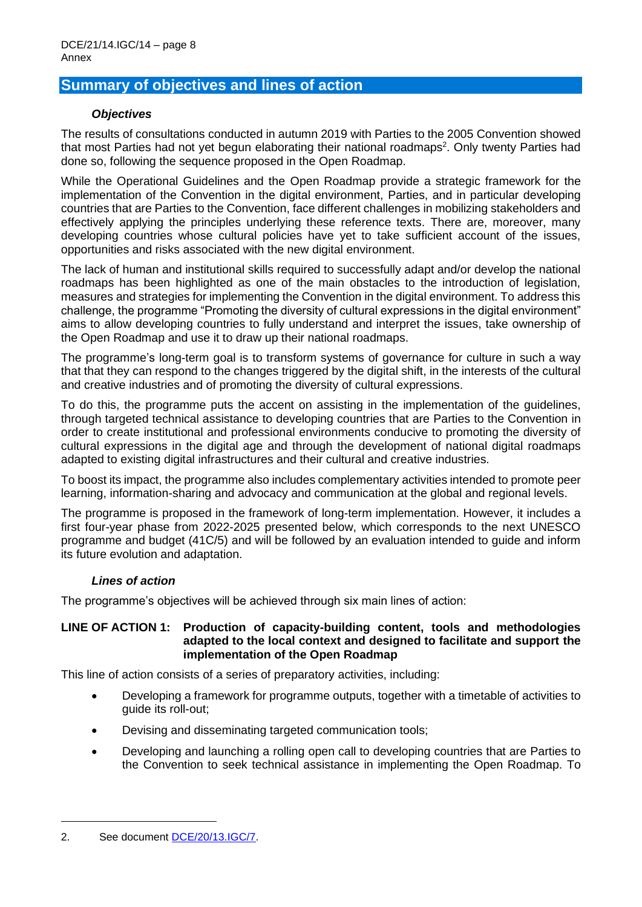# **Summary of objectives and lines of action**

### *Objectives*

The results of consultations conducted in autumn 2019 with Parties to the 2005 Convention showed that most Parties had not yet begun elaborating their national roadmaps<sup>2</sup>. Only twenty Parties had done so, following the sequence proposed in the Open Roadmap.

While the Operational Guidelines and the Open Roadmap provide a strategic framework for the implementation of the Convention in the digital environment. Parties, and in particular developing countries that are Parties to the Convention, face different challenges in mobilizing stakeholders and effectively applying the principles underlying these reference texts. There are, moreover, many developing countries whose cultural policies have yet to take sufficient account of the issues, opportunities and risks associated with the new digital environment.

The lack of human and institutional skills required to successfully adapt and/or develop the national roadmaps has been highlighted as one of the main obstacles to the introduction of legislation, measures and strategies for implementing the Convention in the digital environment. To address this challenge, the programme "Promoting the diversity of cultural expressions in the digital environment" aims to allow developing countries to fully understand and interpret the issues, take ownership of the Open Roadmap and use it to draw up their national roadmaps.

The programme's long-term goal is to transform systems of governance for culture in such a way that that they can respond to the changes triggered by the digital shift, in the interests of the cultural and creative industries and of promoting the diversity of cultural expressions.

To do this, the programme puts the accent on assisting in the implementation of the guidelines, through targeted technical assistance to developing countries that are Parties to the Convention in order to create institutional and professional environments conducive to promoting the diversity of cultural expressions in the digital age and through the development of national digital roadmaps adapted to existing digital infrastructures and their cultural and creative industries.

To boost its impact, the programme also includes complementary activities intended to promote peer learning, information-sharing and advocacy and communication at the global and regional levels.

The programme is proposed in the framework of long-term implementation. However, it includes a first four-year phase from 2022-2025 presented below, which corresponds to the next UNESCO programme and budget (41C/5) and will be followed by an evaluation intended to guide and inform its future evolution and adaptation.

### *Lines of action*

The programme's objectives will be achieved through six main lines of action:

#### **LINE OF ACTION 1: Production of capacity-building content, tools and methodologies adapted to the local context and designed to facilitate and support the implementation of the Open Roadmap**

This line of action consists of a series of preparatory activities, including:

- Developing a framework for programme outputs, together with a timetable of activities to guide its roll-out;
- Devising and disseminating targeted communication tools;
- Developing and launching a rolling open call to developing countries that are Parties to the Convention to seek technical assistance in implementing the Open Roadmap. To

<sup>2.</sup> See document [DCE/20/13.IGC/7.](https://en.unesco.org/creativity/sites/creativity/files/sessions/13igc_7_roadmaps.pdf)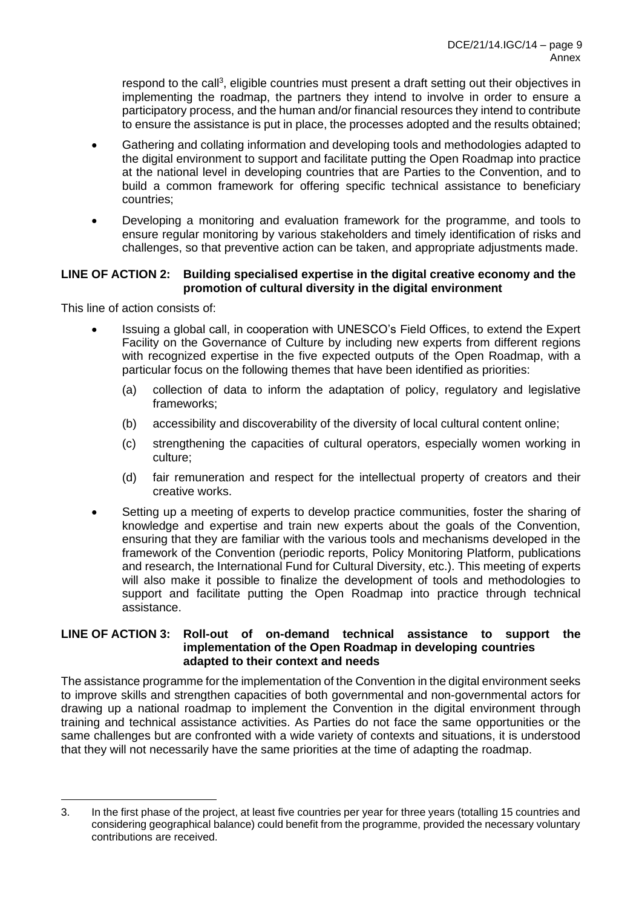respond to the call<sup>3</sup>, eligible countries must present a draft setting out their objectives in implementing the roadmap, the partners they intend to involve in order to ensure a participatory process, and the human and/or financial resources they intend to contribute to ensure the assistance is put in place, the processes adopted and the results obtained;

- Gathering and collating information and developing tools and methodologies adapted to the digital environment to support and facilitate putting the Open Roadmap into practice at the national level in developing countries that are Parties to the Convention, and to build a common framework for offering specific technical assistance to beneficiary countries;
- Developing a monitoring and evaluation framework for the programme, and tools to ensure regular monitoring by various stakeholders and timely identification of risks and challenges, so that preventive action can be taken, and appropriate adjustments made.

### **LINE OF ACTION 2: Building specialised expertise in the digital creative economy and the promotion of cultural diversity in the digital environment**

This line of action consists of:

- Issuing a global call, in cooperation with UNESCO's Field Offices, to extend the Expert Facility on the Governance of Culture by including new experts from different regions with recognized expertise in the five expected outputs of the Open Roadmap, with a particular focus on the following themes that have been identified as priorities:
	- (a) collection of data to inform the adaptation of policy, regulatory and legislative frameworks;
	- (b) accessibility and discoverability of the diversity of local cultural content online;
	- (c) strengthening the capacities of cultural operators, especially women working in culture;
	- (d) fair remuneration and respect for the intellectual property of creators and their creative works.
- Setting up a meeting of experts to develop practice communities, foster the sharing of knowledge and expertise and train new experts about the goals of the Convention, ensuring that they are familiar with the various tools and mechanisms developed in the framework of the Convention (periodic reports, Policy Monitoring Platform, publications and research, the International Fund for Cultural Diversity, etc.). This meeting of experts will also make it possible to finalize the development of tools and methodologies to support and facilitate putting the Open Roadmap into practice through technical assistance.

#### **LINE OF ACTION 3: Roll-out of on-demand technical assistance to support the implementation of the Open Roadmap in developing countries adapted to their context and needs**

The assistance programme for the implementation of the Convention in the digital environment seeks to improve skills and strengthen capacities of both governmental and non-governmental actors for drawing up a national roadmap to implement the Convention in the digital environment through training and technical assistance activities. As Parties do not face the same opportunities or the same challenges but are confronted with a wide variety of contexts and situations, it is understood that they will not necessarily have the same priorities at the time of adapting the roadmap.

<sup>3.</sup> In the first phase of the project, at least five countries per year for three years (totalling 15 countries and considering geographical balance) could benefit from the programme, provided the necessary voluntary contributions are received.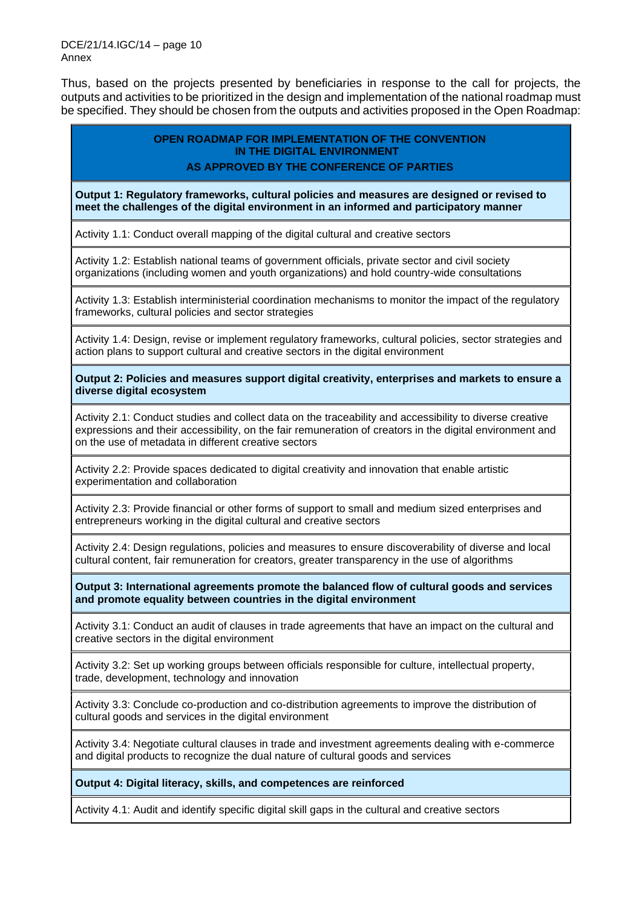Thus, based on the projects presented by beneficiaries in response to the call for projects, the outputs and activities to be prioritized in the design and implementation of the national roadmap must be specified. They should be chosen from the outputs and activities proposed in the Open Roadmap:

### **OPEN ROADMAP FOR IMPLEMENTATION OF THE CONVENTION IN THE DIGITAL ENVIRONMENT**

### **AS APPROVED BY THE CONFERENCE OF PARTIES**

**Output 1: Regulatory frameworks, cultural policies and measures are designed or revised to meet the challenges of the digital environment in an informed and participatory manner**

Activity 1.1: Conduct overall mapping of the digital cultural and creative sectors

Activity 1.2: Establish national teams of government officials, private sector and civil society organizations (including women and youth organizations) and hold country-wide consultations

Activity 1.3: Establish interministerial coordination mechanisms to monitor the impact of the regulatory frameworks, cultural policies and sector strategies

Activity 1.4: Design, revise or implement regulatory frameworks, cultural policies, sector strategies and action plans to support cultural and creative sectors in the digital environment

**Output 2: Policies and measures support digital creativity, enterprises and markets to ensure a diverse digital ecosystem**

Activity 2.1: Conduct studies and collect data on the traceability and accessibility to diverse creative expressions and their accessibility, on the fair remuneration of creators in the digital environment and on the use of metadata in different creative sectors

Activity 2.2: Provide spaces dedicated to digital creativity and innovation that enable artistic experimentation and collaboration

Activity 2.3: Provide financial or other forms of support to small and medium sized enterprises and entrepreneurs working in the digital cultural and creative sectors

Activity 2.4: Design regulations, policies and measures to ensure discoverability of diverse and local cultural content, fair remuneration for creators, greater transparency in the use of algorithms

**Output 3: International agreements promote the balanced flow of cultural goods and services and promote equality between countries in the digital environment**

Activity 3.1: Conduct an audit of clauses in trade agreements that have an impact on the cultural and creative sectors in the digital environment

Activity 3.2: Set up working groups between officials responsible for culture, intellectual property, trade, development, technology and innovation

Activity 3.3: Conclude co-production and co-distribution agreements to improve the distribution of cultural goods and services in the digital environment

Activity 3.4: Negotiate cultural clauses in trade and investment agreements dealing with e-commerce and digital products to recognize the dual nature of cultural goods and services

#### **Output 4: Digital literacy, skills, and competences are reinforced**

Activity 4.1: Audit and identify specific digital skill gaps in the cultural and creative sectors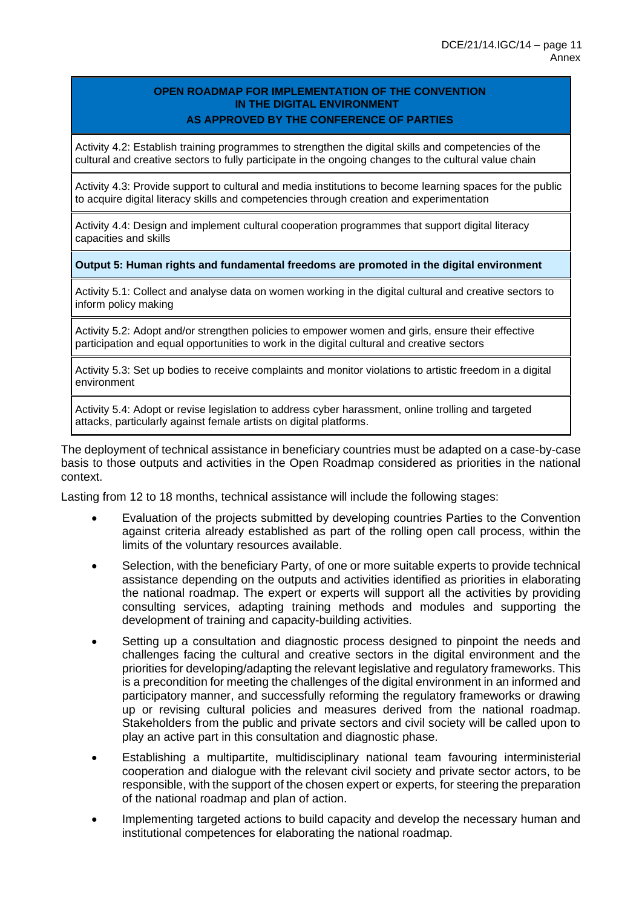#### **OPEN ROADMAP FOR IMPLEMENTATION OF THE CONVENTION IN THE DIGITAL ENVIRONMENT AS APPROVED BY THE CONFERENCE OF PARTIES**

Activity 4.2: Establish training programmes to strengthen the digital skills and competencies of the cultural and creative sectors to fully participate in the ongoing changes to the cultural value chain

Activity 4.3: Provide support to cultural and media institutions to become learning spaces for the public to acquire digital literacy skills and competencies through creation and experimentation

Activity 4.4: Design and implement cultural cooperation programmes that support digital literacy capacities and skills

#### **Output 5: Human rights and fundamental freedoms are promoted in the digital environment**

Activity 5.1: Collect and analyse data on women working in the digital cultural and creative sectors to inform policy making

Activity 5.2: Adopt and/or strengthen policies to empower women and girls, ensure their effective participation and equal opportunities to work in the digital cultural and creative sectors

Activity 5.3: Set up bodies to receive complaints and monitor violations to artistic freedom in a digital environment

Activity 5.4: Adopt or revise legislation to address cyber harassment, online trolling and targeted attacks, particularly against female artists on digital platforms.

The deployment of technical assistance in beneficiary countries must be adapted on a case-by-case basis to those outputs and activities in the Open Roadmap considered as priorities in the national context.

Lasting from 12 to 18 months, technical assistance will include the following stages:

- Evaluation of the projects submitted by developing countries Parties to the Convention against criteria already established as part of the rolling open call process, within the limits of the voluntary resources available.
- Selection, with the beneficiary Party, of one or more suitable experts to provide technical assistance depending on the outputs and activities identified as priorities in elaborating the national roadmap. The expert or experts will support all the activities by providing consulting services, adapting training methods and modules and supporting the development of training and capacity-building activities.
- Setting up a consultation and diagnostic process designed to pinpoint the needs and challenges facing the cultural and creative sectors in the digital environment and the priorities for developing/adapting the relevant legislative and regulatory frameworks. This is a precondition for meeting the challenges of the digital environment in an informed and participatory manner, and successfully reforming the regulatory frameworks or drawing up or revising cultural policies and measures derived from the national roadmap. Stakeholders from the public and private sectors and civil society will be called upon to play an active part in this consultation and diagnostic phase.
- Establishing a multipartite, multidisciplinary national team favouring interministerial cooperation and dialogue with the relevant civil society and private sector actors, to be responsible, with the support of the chosen expert or experts, for steering the preparation of the national roadmap and plan of action.
- Implementing targeted actions to build capacity and develop the necessary human and institutional competences for elaborating the national roadmap.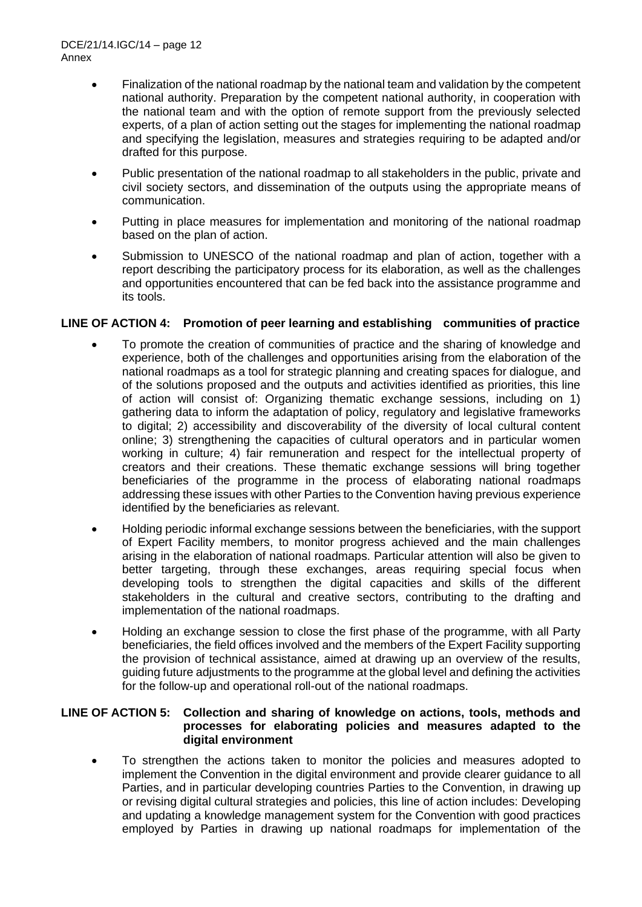- Finalization of the national roadmap by the national team and validation by the competent national authority. Preparation by the competent national authority, in cooperation with the national team and with the option of remote support from the previously selected experts, of a plan of action setting out the stages for implementing the national roadmap and specifying the legislation, measures and strategies requiring to be adapted and/or drafted for this purpose.
- Public presentation of the national roadmap to all stakeholders in the public, private and civil society sectors, and dissemination of the outputs using the appropriate means of communication.
- Putting in place measures for implementation and monitoring of the national roadmap based on the plan of action.
- Submission to UNESCO of the national roadmap and plan of action, together with a report describing the participatory process for its elaboration, as well as the challenges and opportunities encountered that can be fed back into the assistance programme and its tools.

## **LINE OF ACTION 4: Promotion of peer learning and establishing communities of practice**

- To promote the creation of communities of practice and the sharing of knowledge and experience, both of the challenges and opportunities arising from the elaboration of the national roadmaps as a tool for strategic planning and creating spaces for dialogue, and of the solutions proposed and the outputs and activities identified as priorities, this line of action will consist of: Organizing thematic exchange sessions, including on 1) gathering data to inform the adaptation of policy, regulatory and legislative frameworks to digital; 2) accessibility and discoverability of the diversity of local cultural content online; 3) strengthening the capacities of cultural operators and in particular women working in culture; 4) fair remuneration and respect for the intellectual property of creators and their creations. These thematic exchange sessions will bring together beneficiaries of the programme in the process of elaborating national roadmaps addressing these issues with other Parties to the Convention having previous experience identified by the beneficiaries as relevant.
- Holding periodic informal exchange sessions between the beneficiaries, with the support of Expert Facility members, to monitor progress achieved and the main challenges arising in the elaboration of national roadmaps. Particular attention will also be given to better targeting, through these exchanges, areas requiring special focus when developing tools to strengthen the digital capacities and skills of the different stakeholders in the cultural and creative sectors, contributing to the drafting and implementation of the national roadmaps.
- Holding an exchange session to close the first phase of the programme, with all Party beneficiaries, the field offices involved and the members of the Expert Facility supporting the provision of technical assistance, aimed at drawing up an overview of the results, guiding future adjustments to the programme at the global level and defining the activities for the follow-up and operational roll-out of the national roadmaps.

#### **LINE OF ACTION 5: Collection and sharing of knowledge on actions, tools, methods and processes for elaborating policies and measures adapted to the digital environment**

• To strengthen the actions taken to monitor the policies and measures adopted to implement the Convention in the digital environment and provide clearer guidance to all Parties, and in particular developing countries Parties to the Convention, in drawing up or revising digital cultural strategies and policies, this line of action includes: Developing and updating a knowledge management system for the Convention with good practices employed by Parties in drawing up national roadmaps for implementation of the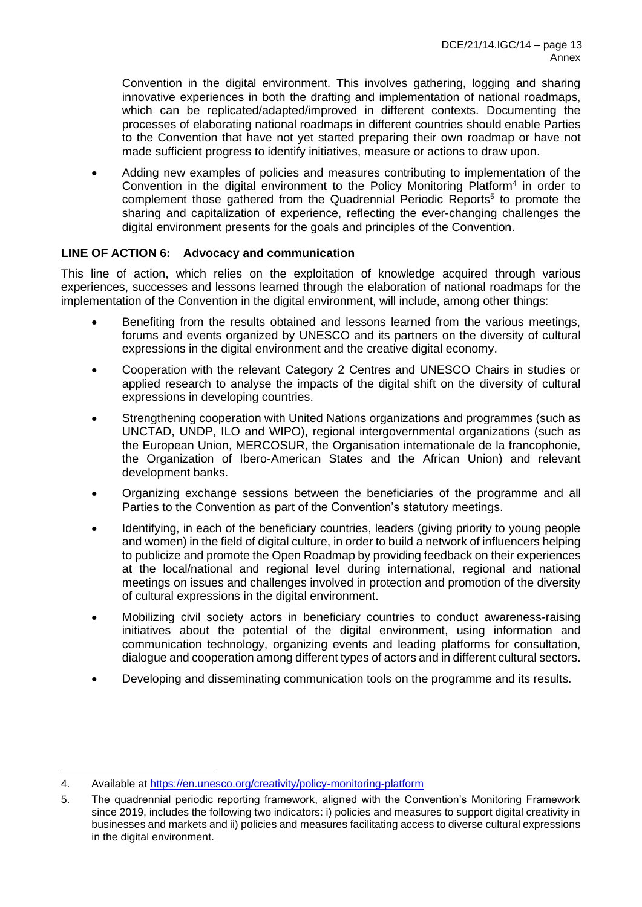Convention in the digital environment. This involves gathering, logging and sharing innovative experiences in both the drafting and implementation of national roadmaps, which can be replicated/adapted/improved in different contexts. Documenting the processes of elaborating national roadmaps in different countries should enable Parties to the Convention that have not yet started preparing their own roadmap or have not made sufficient progress to identify initiatives, measure or actions to draw upon.

• Adding new examples of policies and measures contributing to implementation of the Convention in the digital environment to the Policy Monitoring Platform<sup>4</sup> in order to complement those gathered from the Quadrennial Periodic Reports<sup>5</sup> to promote the sharing and capitalization of experience, reflecting the ever-changing challenges the digital environment presents for the goals and principles of the Convention.

## **LINE OF ACTION 6: Advocacy and communication**

This line of action, which relies on the exploitation of knowledge acquired through various experiences, successes and lessons learned through the elaboration of national roadmaps for the implementation of the Convention in the digital environment, will include, among other things:

- Benefiting from the results obtained and lessons learned from the various meetings, forums and events organized by UNESCO and its partners on the diversity of cultural expressions in the digital environment and the creative digital economy.
- Cooperation with the relevant Category 2 Centres and UNESCO Chairs in studies or applied research to analyse the impacts of the digital shift on the diversity of cultural expressions in developing countries.
- Strengthening cooperation with United Nations organizations and programmes (such as UNCTAD, UNDP, ILO and WIPO), regional intergovernmental organizations (such as the European Union, MERCOSUR, the Organisation internationale de la francophonie, the Organization of Ibero-American States and the African Union) and relevant development banks.
- Organizing exchange sessions between the beneficiaries of the programme and all Parties to the Convention as part of the Convention's statutory meetings.
- Identifying, in each of the beneficiary countries, leaders (giving priority to young people and women) in the field of digital culture, in order to build a network of influencers helping to publicize and promote the Open Roadmap by providing feedback on their experiences at the local/national and regional level during international, regional and national meetings on issues and challenges involved in protection and promotion of the diversity of cultural expressions in the digital environment.
- Mobilizing civil society actors in beneficiary countries to conduct awareness-raising initiatives about the potential of the digital environment, using information and communication technology, organizing events and leading platforms for consultation, dialogue and cooperation among different types of actors and in different cultural sectors.
- Developing and disseminating communication tools on the programme and its results.

<sup>4.</sup> Available at<https://en.unesco.org/creativity/policy-monitoring-platform>

<sup>5.</sup> The quadrennial periodic reporting framework, aligned with the Convention's Monitoring Framework since 2019, includes the following two indicators: i) policies and measures to support digital creativity in businesses and markets and ii) policies and measures facilitating access to diverse cultural expressions in the digital environment.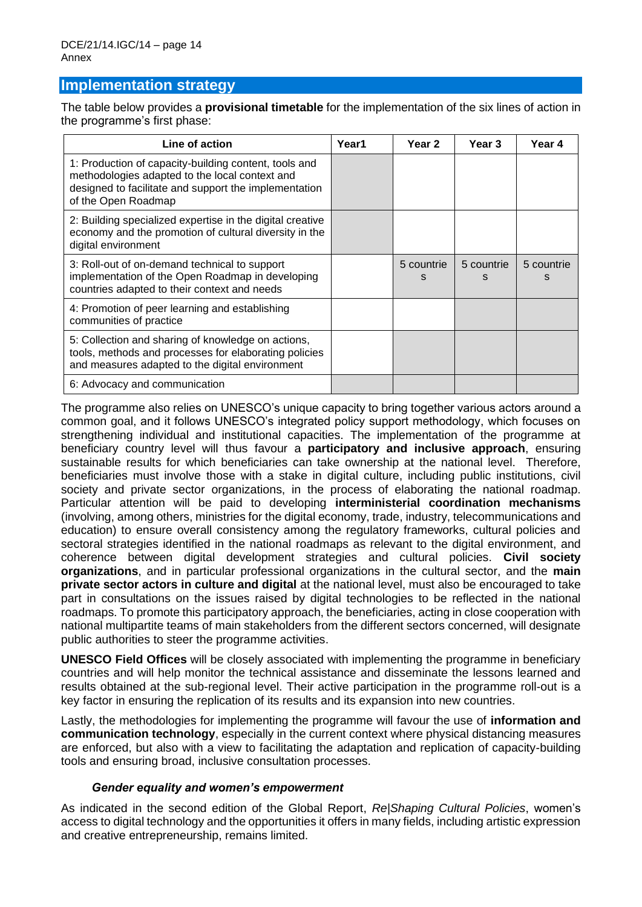# **Implementation strategy**

The table below provides a **provisional timetable** for the implementation of the six lines of action in the programme's first phase:

| Line of action                                                                                                                                                                          | Year1 | Year <sub>2</sub> | Year 3          | Year 4          |
|-----------------------------------------------------------------------------------------------------------------------------------------------------------------------------------------|-------|-------------------|-----------------|-----------------|
| 1: Production of capacity-building content, tools and<br>methodologies adapted to the local context and<br>designed to facilitate and support the implementation<br>of the Open Roadmap |       |                   |                 |                 |
| 2: Building specialized expertise in the digital creative<br>economy and the promotion of cultural diversity in the<br>digital environment                                              |       |                   |                 |                 |
| 3: Roll-out of on-demand technical to support<br>implementation of the Open Roadmap in developing<br>countries adapted to their context and needs                                       |       | 5 countrie<br>s   | 5 countrie<br>s | 5 countrie<br>s |
| 4: Promotion of peer learning and establishing<br>communities of practice                                                                                                               |       |                   |                 |                 |
| 5: Collection and sharing of knowledge on actions,<br>tools, methods and processes for elaborating policies<br>and measures adapted to the digital environment                          |       |                   |                 |                 |
| 6: Advocacy and communication                                                                                                                                                           |       |                   |                 |                 |

The programme also relies on UNESCO's unique capacity to bring together various actors around a common goal, and it follows UNESCO's integrated policy support methodology, which focuses on strengthening individual and institutional capacities. The implementation of the programme at beneficiary country level will thus favour a **participatory and inclusive approach**, ensuring sustainable results for which beneficiaries can take ownership at the national level. Therefore, beneficiaries must involve those with a stake in digital culture, including public institutions, civil society and private sector organizations, in the process of elaborating the national roadmap. Particular attention will be paid to developing **interministerial coordination mechanisms** (involving, among others, ministries for the digital economy, trade, industry, telecommunications and education) to ensure overall consistency among the regulatory frameworks, cultural policies and sectoral strategies identified in the national roadmaps as relevant to the digital environment, and coherence between digital development strategies and cultural policies. **Civil society organizations**, and in particular professional organizations in the cultural sector, and the **main private sector actors in culture and digital** at the national level, must also be encouraged to take part in consultations on the issues raised by digital technologies to be reflected in the national roadmaps. To promote this participatory approach, the beneficiaries, acting in close cooperation with national multipartite teams of main stakeholders from the different sectors concerned, will designate public authorities to steer the programme activities.

**UNESCO Field Offices** will be closely associated with implementing the programme in beneficiary countries and will help monitor the technical assistance and disseminate the lessons learned and results obtained at the sub-regional level. Their active participation in the programme roll-out is a key factor in ensuring the replication of its results and its expansion into new countries.

Lastly, the methodologies for implementing the programme will favour the use of **information and communication technology**, especially in the current context where physical distancing measures are enforced, but also with a view to facilitating the adaptation and replication of capacity-building tools and ensuring broad, inclusive consultation processes.

### *Gender equality and women's empowerment*

As indicated in the second edition of the Global Report, *Re|Shaping Cultural Policies*, women's access to digital technology and the opportunities it offers in many fields, including artistic expression and creative entrepreneurship, remains limited.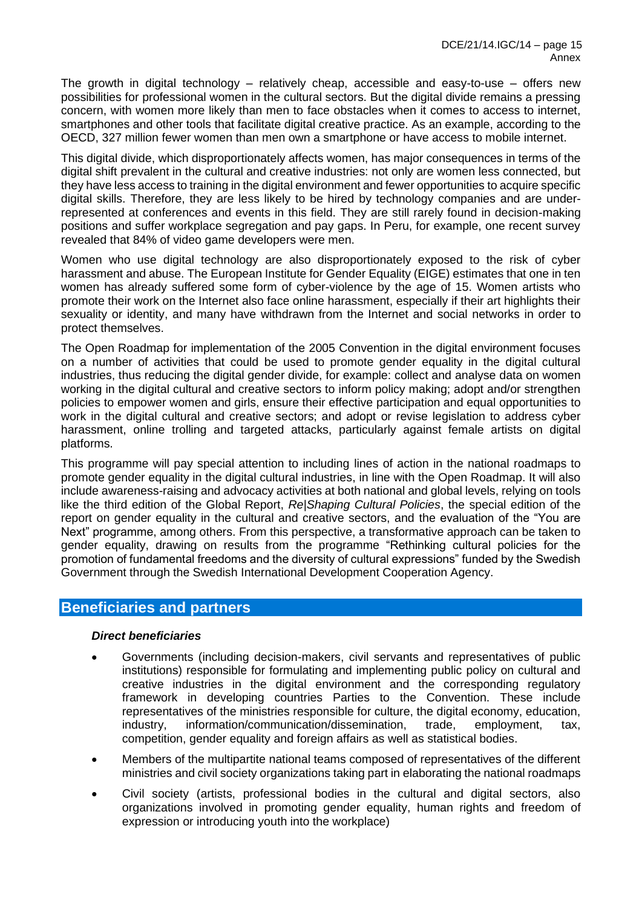The growth in digital technology – relatively cheap, accessible and easy-to-use – offers new possibilities for professional women in the cultural sectors. But the digital divide remains a pressing concern, with women more likely than men to face obstacles when it comes to access to internet, smartphones and other tools that facilitate digital creative practice. As an example, according to the OECD, 327 million fewer women than men own a smartphone or have access to mobile internet.

This digital divide, which disproportionately affects women, has major consequences in terms of the digital shift prevalent in the cultural and creative industries: not only are women less connected, but they have less access to training in the digital environment and fewer opportunities to acquire specific digital skills. Therefore, they are less likely to be hired by technology companies and are underrepresented at conferences and events in this field. They are still rarely found in decision-making positions and suffer workplace segregation and pay gaps. In Peru, for example, one recent survey revealed that 84% of video game developers were men.

Women who use digital technology are also disproportionately exposed to the risk of cyber harassment and abuse. The European Institute for Gender Equality (EIGE) estimates that one in ten women has already suffered some form of cyber-violence by the age of 15. Women artists who promote their work on the Internet also face online harassment, especially if their art highlights their sexuality or identity, and many have withdrawn from the Internet and social networks in order to protect themselves.

The Open Roadmap for implementation of the 2005 Convention in the digital environment focuses on a number of activities that could be used to promote gender equality in the digital cultural industries, thus reducing the digital gender divide, for example: collect and analyse data on women working in the digital cultural and creative sectors to inform policy making; adopt and/or strengthen policies to empower women and girls, ensure their effective participation and equal opportunities to work in the digital cultural and creative sectors; and adopt or revise legislation to address cyber harassment, online trolling and targeted attacks, particularly against female artists on digital platforms.

This programme will pay special attention to including lines of action in the national roadmaps to promote gender equality in the digital cultural industries, in line with the Open Roadmap. It will also include awareness-raising and advocacy activities at both national and global levels, relying on tools like the third edition of the Global Report, *Re|Shaping Cultural Policies*, the special edition of the report on gender equality in the cultural and creative sectors, and the evaluation of the "You are Next" programme, among others. From this perspective, a transformative approach can be taken to gender equality, drawing on results from the programme "Rethinking cultural policies for the promotion of fundamental freedoms and the diversity of cultural expressions" funded by the Swedish Government through the Swedish International Development Cooperation Agency.

# **Beneficiaries and partners**

### *Direct beneficiaries*

- Governments (including decision-makers, civil servants and representatives of public institutions) responsible for formulating and implementing public policy on cultural and creative industries in the digital environment and the corresponding regulatory framework in developing countries Parties to the Convention. These include representatives of the ministries responsible for culture, the digital economy, education, industry, information/communication/dissemination, trade, employment, tax, competition, gender equality and foreign affairs as well as statistical bodies.
- Members of the multipartite national teams composed of representatives of the different ministries and civil society organizations taking part in elaborating the national roadmaps
- Civil society (artists, professional bodies in the cultural and digital sectors, also organizations involved in promoting gender equality, human rights and freedom of expression or introducing youth into the workplace)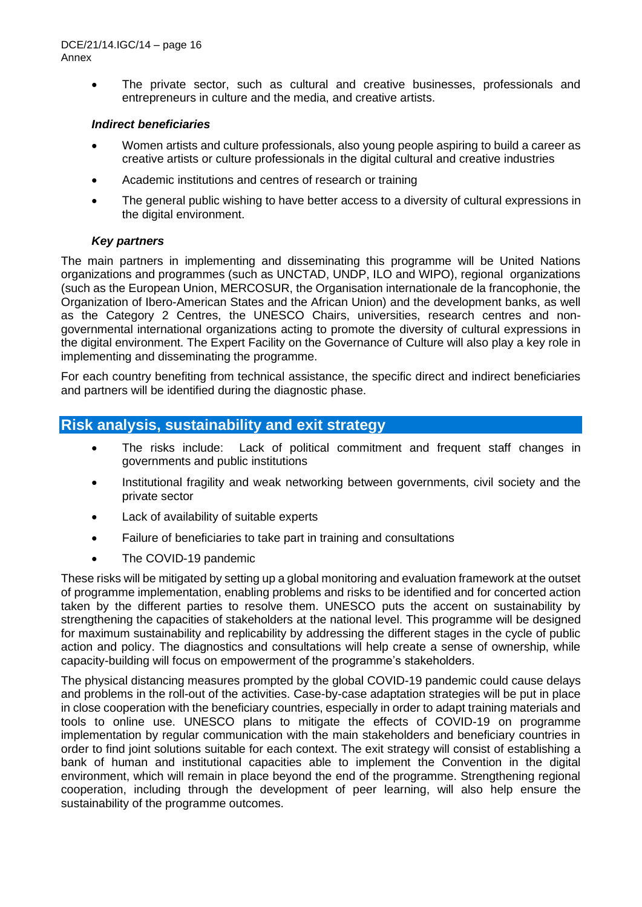• The private sector, such as cultural and creative businesses, professionals and entrepreneurs in culture and the media, and creative artists.

### *Indirect beneficiaries*

- Women artists and culture professionals, also young people aspiring to build a career as creative artists or culture professionals in the digital cultural and creative industries
- Academic institutions and centres of research or training
- The general public wishing to have better access to a diversity of cultural expressions in the digital environment.

## *Key partners*

The main partners in implementing and disseminating this programme will be United Nations organizations and programmes (such as UNCTAD, UNDP, ILO and WIPO), regional organizations (such as the European Union, MERCOSUR, the Organisation internationale de la francophonie, the Organization of Ibero-American States and the African Union) and the development banks, as well as the Category 2 Centres, the UNESCO Chairs, universities, research centres and nongovernmental international organizations acting to promote the diversity of cultural expressions in the digital environment. The Expert Facility on the Governance of Culture will also play a key role in implementing and disseminating the programme.

For each country benefiting from technical assistance, the specific direct and indirect beneficiaries and partners will be identified during the diagnostic phase.

# **Risk analysis, sustainability and exit strategy**

- The risks include: Lack of political commitment and frequent staff changes in governments and public institutions
- Institutional fragility and weak networking between governments, civil society and the private sector
- Lack of availability of suitable experts
- Failure of beneficiaries to take part in training and consultations
- The COVID-19 pandemic

These risks will be mitigated by setting up a global monitoring and evaluation framework at the outset of programme implementation, enabling problems and risks to be identified and for concerted action taken by the different parties to resolve them. UNESCO puts the accent on sustainability by strengthening the capacities of stakeholders at the national level. This programme will be designed for maximum sustainability and replicability by addressing the different stages in the cycle of public action and policy. The diagnostics and consultations will help create a sense of ownership, while capacity-building will focus on empowerment of the programme's stakeholders.

The physical distancing measures prompted by the global COVID-19 pandemic could cause delays and problems in the roll-out of the activities. Case-by-case adaptation strategies will be put in place in close cooperation with the beneficiary countries, especially in order to adapt training materials and tools to online use. UNESCO plans to mitigate the effects of COVID-19 on programme implementation by regular communication with the main stakeholders and beneficiary countries in order to find joint solutions suitable for each context. The exit strategy will consist of establishing a bank of human and institutional capacities able to implement the Convention in the digital environment, which will remain in place beyond the end of the programme. Strengthening regional cooperation, including through the development of peer learning, will also help ensure the sustainability of the programme outcomes.